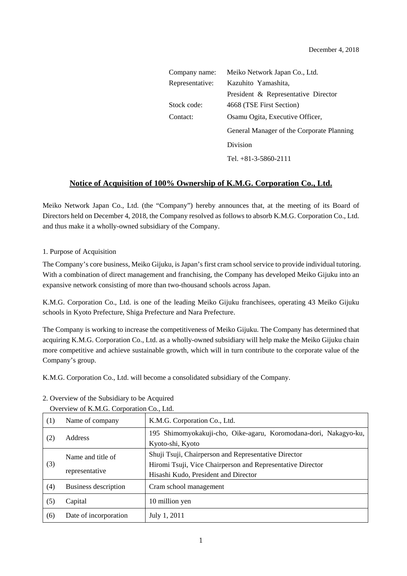| Company name:   | Meiko Network Japan Co., Ltd.             |
|-----------------|-------------------------------------------|
| Representative: | Kazuhito Yamashita,                       |
|                 | President & Representative Director       |
| Stock code:     | 4668 (TSE First Section)                  |
| Contact:        | Osamu Ogita, Executive Officer,           |
|                 | General Manager of the Corporate Planning |
|                 | Division                                  |
|                 | Tel. $+81-3-5860-2111$                    |

### **Notice of Acquisition of 100% Ownership of K.M.G. Corporation Co., Ltd.**

Meiko Network Japan Co., Ltd. (the "Company") hereby announces that, at the meeting of its Board of Directors held on December 4, 2018, the Company resolved as follows to absorb K.M.G. Corporation Co., Ltd. and thus make it a wholly-owned subsidiary of the Company.

#### 1. Purpose of Acquisition

The Company's core business, Meiko Gijuku, is Japan's first cram school service to provide individual tutoring. With a combination of direct management and franchising, the Company has developed Meiko Gijuku into an expansive network consisting of more than two-thousand schools across Japan.

K.M.G. Corporation Co., Ltd. is one of the leading Meiko Gijuku franchisees, operating 43 Meiko Gijuku schools in Kyoto Prefecture, Shiga Prefecture and Nara Prefecture.

The Company is working to increase the competitiveness of Meiko Gijuku. The Company has determined that acquiring K.M.G. Corporation Co., Ltd. as a wholly-owned subsidiary will help make the Meiko Gijuku chain more competitive and achieve sustainable growth, which will in turn contribute to the corporate value of the Company's group.

K.M.G. Corporation Co., Ltd. will become a consolidated subsidiary of the Company.

|     | Overview of Kings. Corporation Co., Lau. |                                                                                                                                                            |  |
|-----|------------------------------------------|------------------------------------------------------------------------------------------------------------------------------------------------------------|--|
| (1) | Name of company                          | K.M.G. Corporation Co., Ltd.                                                                                                                               |  |
| (2) | Address                                  | 195 Shimomyokakuji-cho, Oike-agaru, Koromodana-dori, Nakagyo-ku,<br>Kyoto-shi, Kyoto                                                                       |  |
| (3) | Name and title of<br>representative      | Shuji Tsuji, Chairperson and Representative Director<br>Hiromi Tsuji, Vice Chairperson and Representative Director<br>Hisashi Kudo, President and Director |  |
| (4) | Business description                     | Cram school management                                                                                                                                     |  |
| (5) | Capital                                  | 10 million yen                                                                                                                                             |  |
| (6) | Date of incorporation                    | July 1, 2011                                                                                                                                               |  |

### 2. Overview of the Subsidiary to be Acquired

Overview of K.M.G. Corporation Co., Ltd.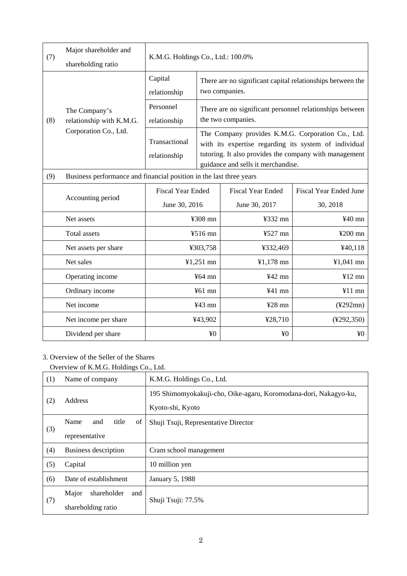| (7) | Major shareholder and<br>shareholding ratio                        | K.M.G. Holdings Co., Ltd.: 100.0%                                   |                                                                                                                                                                                                            |                          |                               |
|-----|--------------------------------------------------------------------|---------------------------------------------------------------------|------------------------------------------------------------------------------------------------------------------------------------------------------------------------------------------------------------|--------------------------|-------------------------------|
| (8) | The Company's<br>relationship with K.M.G.<br>Corporation Co., Ltd. | Capital<br>relationship                                             | There are no significant capital relationships between the<br>two companies.                                                                                                                               |                          |                               |
|     |                                                                    | Personnel<br>relationship                                           | There are no significant personnel relationships between<br>the two companies.                                                                                                                             |                          |                               |
|     |                                                                    | Transactional<br>relationship                                       | The Company provides K.M.G. Corporation Co., Ltd.<br>with its expertise regarding its system of individual<br>tutoring. It also provides the company with management<br>guidance and sells it merchandise. |                          |                               |
| (9) |                                                                    | Business performance and financial position in the last three years |                                                                                                                                                                                                            |                          |                               |
|     | Accounting period                                                  | <b>Fiscal Year Ended</b>                                            |                                                                                                                                                                                                            | <b>Fiscal Year Ended</b> | <b>Fiscal Year Ended June</b> |
|     |                                                                    | June 30, 2016                                                       |                                                                                                                                                                                                            | June 30, 2017            | 30, 2018                      |
|     | Net assets                                                         |                                                                     | ¥308 mn                                                                                                                                                                                                    | ¥332 mn                  | $440$ mn                      |
|     | <b>Total</b> assets                                                |                                                                     | ¥516 mn                                                                                                                                                                                                    | ¥527 mn                  | ¥ $200$ mn                    |
|     | Net assets per share                                               |                                                                     | ¥303,758                                                                                                                                                                                                   | ¥332,469                 | ¥40,118                       |
|     | Net sales                                                          | $¥1,251$ mn                                                         |                                                                                                                                                                                                            | $¥1,178$ mn              | $¥1,041$ mn                   |
|     | Operating income                                                   | $¥64$ mn                                                            |                                                                                                                                                                                                            | $442$ mn                 | $412 \text{ mm}$              |
|     | Ordinary income                                                    | $461$ mn                                                            |                                                                                                                                                                                                            | $441$ mn                 | $¥11$ mn                      |
|     | Net income                                                         | $443$ mn                                                            |                                                                                                                                                                                                            | $428$ mn                 | $(*292mn)$                    |
|     | Net income per share                                               | ¥43,902                                                             |                                                                                                                                                                                                            | ¥28,710                  | $(*292,350)$                  |
|     | Dividend per share                                                 | ¥ <sub>0</sub>                                                      |                                                                                                                                                                                                            | ¥ <sub>0</sub>           | ¥0                            |

# 3. Overview of the Seller of the Shares

Overview of K.M.G. Holdings Co., Ltd.

| (1) | Name of company                              | K.M.G. Holdings Co., Ltd.                                                            |
|-----|----------------------------------------------|--------------------------------------------------------------------------------------|
| (2) | Address                                      | 195 Shimomyokakuji-cho, Oike-agaru, Koromodana-dori, Nakagyo-ku,<br>Kyoto-shi, Kyoto |
| (3) | title<br>Name<br>of<br>and<br>representative | Shuji Tsuji, Representative Director                                                 |
| (4) | Business description                         | Cram school management                                                               |
| (5) | Capital                                      | 10 million yen                                                                       |
| (6) | Date of establishment                        | <b>January 5, 1988</b>                                                               |
| (7) | Major<br>shareholder<br>and                  |                                                                                      |
|     | shareholding ratio                           | Shuji Tsuji: 77.5%                                                                   |